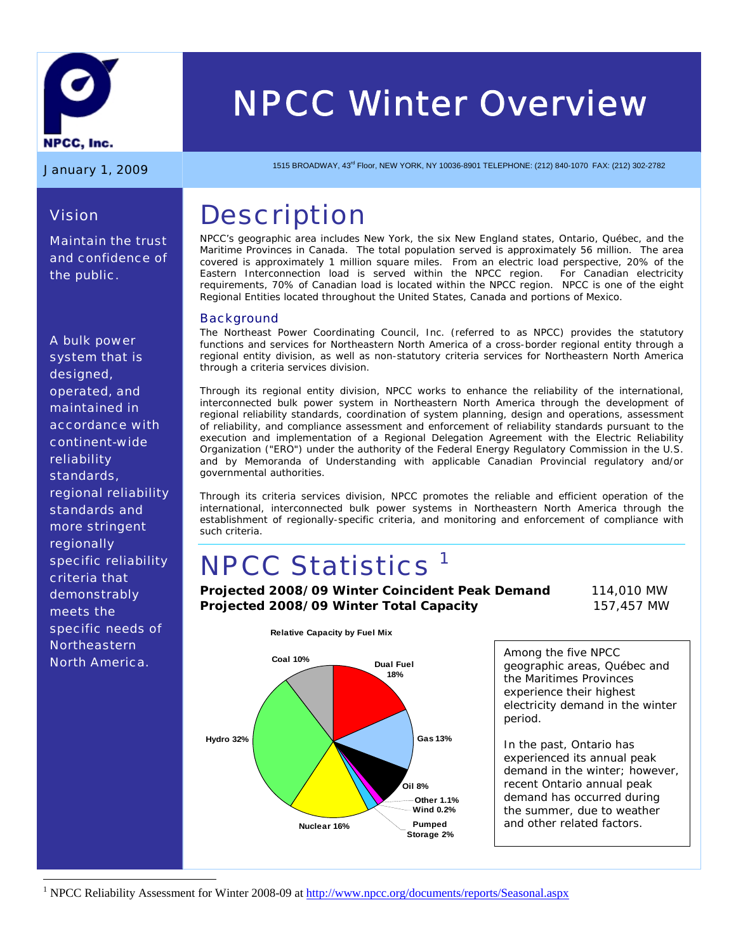

# *NPCC Winter Overview*

*Maintain the trust and confidence of* 

*Vision* 

*the public.* 

January 1, 2009 1515 BROADWAY, 43<sup>rd</sup> Floor, NEW YORK, NY 10036-8901 TELEPHONE: (212) 840-1070 FAX: (212) 302-2782

## **Description**

NPCC's geographic area includes New York, the six New England states, Ontario, Québec, and the Maritime Provinces in Canada. The total population served is approximately 56 million. The area covered is approximately 1 million square miles. From an electric load perspective, 20% of the Eastern Interconnection load is served within the NPCC region. For Canadian electricity requirements, 70% of Canadian load is located within the NPCC region. NPCC is one of the eight Regional Entities located throughout the United States, Canada and portions of Mexico.

#### **Background**

The Northeast Power Coordinating Council, Inc. (referred to as NPCC) provides the statutory functions and services for Northeastern North America of a cross-border regional entity through a regional entity division, as well as non-statutory criteria services for Northeastern North America through a criteria services division.

Through its regional entity division, NPCC works to enhance the reliability of the international, interconnected bulk power system in Northeastern North America through the development of regional reliability standards, coordination of system planning, design and operations, assessment of reliability, and compliance assessment and enforcement of reliability standards pursuant to the execution and implementation of a Regional Delegation Agreement with the Electric Reliability Organization ("ERO") under the authority of the Federal Energy Regulatory Commission in the U.S. and by Memoranda of Understanding with applicable Canadian Provincial regulatory and/or governmental authorities.

Through its criteria services division, NPCC promotes the reliable and efficient operation of the international, interconnected bulk power systems in Northeastern North America through the establishment of regionally-specific criteria, and monitoring and enforcement of compliance with such criteria.

## **NPCC Statistics<sup>1</sup>**

**Relative Capacity by Fuel Mix**

**Projected 2008/09 Winter Coincident Peak Demand** 114,010 MW **Projected 2008/09 Winter Total Capacity** 157,457 MW



Among the five NPCC geographic areas, Québec and the Maritimes Provinces experience their highest electricity demand in the winter period.

In the past, Ontario has experienced its annual peak demand in the winter; however, recent Ontario annual peak demand has occurred during the summer, due to weather and other related factors.

<sup>1</sup> NPCC Reliability Assessment for Winter 2008-09 at http://www.npcc.org/documents/reports/Seasonal.aspx

*A bulk power system that is designed, operated, and maintained in accordance with continent-wide reliability standards, regional reliability standards and more stringent regionally specific reliability criteria that demonstrably meets the specific needs of Northeastern North America.* 

 $\overline{a}$